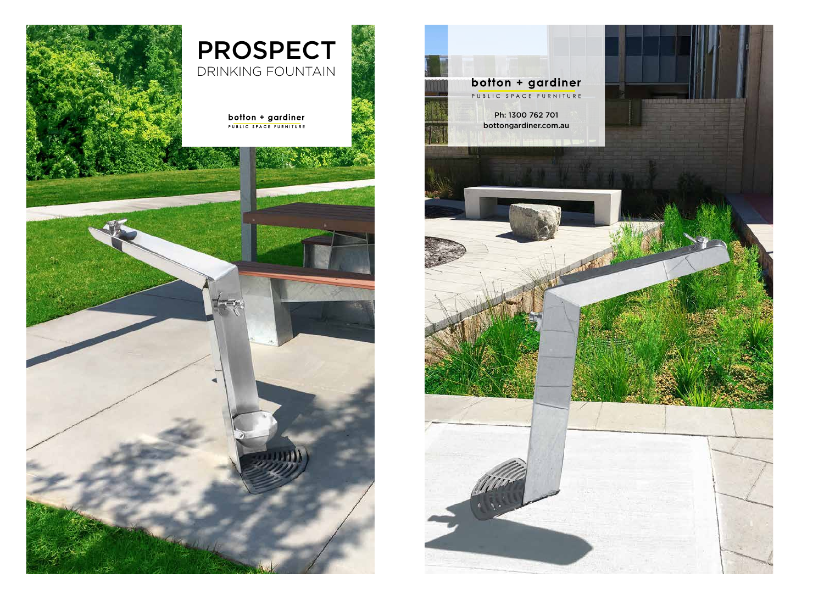